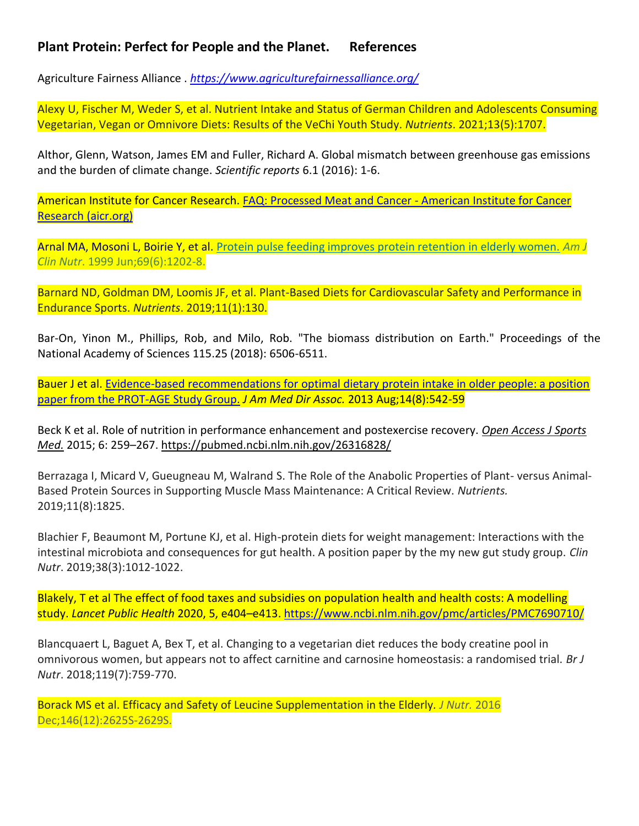## **Plant Protein: Perfect for People and the Planet. References**

Agriculture Fairness Alliance . *<https://www.agriculturefairnessalliance.org/>*

Alexy U, Fischer M, Weder S, et al. Nutrient Intake and Status of German Children and Adolescents Consuming Vegetarian, Vegan or Omnivore Diets: Results of the VeChi Youth Study. *Nutrients*. 2021;13(5):1707.

Althor, Glenn, Watson, James EM and Fuller, Richard A. Global mismatch between greenhouse gas emissions and the burden of climate change. *Scientific reports* 6.1 (2016): 1-6.

American Institute for Cancer Research. [FAQ: Processed Meat and Cancer -](https://www.aicr.org/news/faq-processed-meat-and-cancer/) American Institute for Cancer [Research \(aicr.org\)](https://www.aicr.org/news/faq-processed-meat-and-cancer/)

Arnal MA, Mosoni L, Boirie Y, et al. [Protein pulse feeding improves protein retention in elderly women.](https://pubmed.ncbi.nlm.nih.gov/10357740/) *Am J Clin Nutr*. 1999 Jun;69(6):1202-8.

Barnard ND, Goldman DM, Loomis JF, et al. Plant-Based Diets for Cardiovascular Safety and Performance in Endurance Sports. *Nutrients*. 2019;11(1):130.

Bar-On, Yinon M., Phillips, Rob, and Milo, Rob. "The biomass distribution on Earth." Proceedings of the National Academy of Sciences 115.25 (2018): 6506-6511.

Bauer J et al. [Evidence-based recommendations for](https://pubmed.ncbi.nlm.nih.gov/23867520/) optimal dietary protein intake in older people: a position [paper from the PROT-AGE Study Group.](https://pubmed.ncbi.nlm.nih.gov/23867520/) *J Am Med Dir Assoc.* 2013 Aug;14(8):542-59

Beck K et al. Role of nutrition in performance enhancement and postexercise recovery. *[Open Access J Sports](https://www.ncbi.nlm.nih.gov/pmc/articles/PMC4540168/)  [Med.](https://www.ncbi.nlm.nih.gov/pmc/articles/PMC4540168/)* 2015; 6: 259–267.<https://pubmed.ncbi.nlm.nih.gov/26316828/>

Berrazaga I, Micard V, Gueugneau M, Walrand S. The Role of the Anabolic Properties of Plant- versus Animal-Based Protein Sources in Supporting Muscle Mass Maintenance: A Critical Review. *Nutrients.* 2019;11(8):1825.

Blachier F, Beaumont M, Portune KJ, et al. High-protein diets for weight management: Interactions with the intestinal microbiota and consequences for gut health. A position paper by the my new gut study group. *Clin Nutr*. 2019;38(3):1012-1022.

Blakely, T et al The effect of food taxes and subsidies on population health and health costs: A modelling study. *Lancet Public Health* 2020, 5, e404–e413.<https://www.ncbi.nlm.nih.gov/pmc/articles/PMC7690710/>

Blancquaert L, Baguet A, Bex T, et al. Changing to a vegetarian diet reduces the body creatine pool in omnivorous women, but appears not to affect carnitine and carnosine homeostasis: a randomised trial. *Br J Nutr*. 2018;119(7):759-770.

Borack MS et al. Efficacy and Safety of Leucine Supplementation in the Elderly*. J Nutr.* 2016 Dec;146(12):2625S-2629S.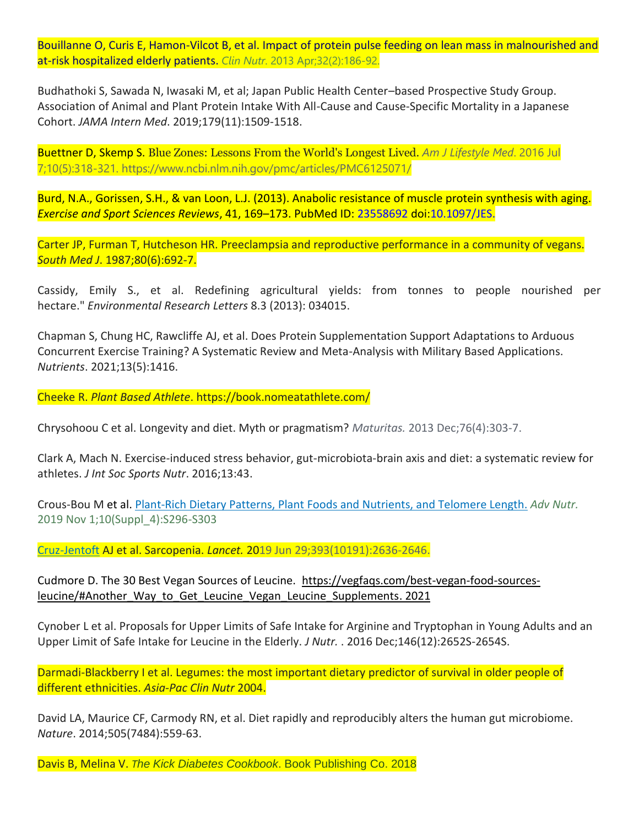Bouillanne O, Curis E, Hamon-Vilcot B, et al. Impact of protein pulse feeding on lean mass in malnourished and at-risk hospitalized elderly patients. *Clin Nutr*. 2013 Apr;32(2):186-92.

Budhathoki S, Sawada N, Iwasaki M, et al; Japan Public Health Center–based Prospective Study Group. Association of Animal and Plant Protein Intake With All-Cause and Cause-Specific Mortality in a Japanese Cohort. *JAMA Intern Med*. 2019;179(11):1509-1518.

Buettner D, Skemp S. Blue Zones: Lessons From the World's Longest Lived. *Am J Lifestyle Med*. 2016 Jul 7;10(5):318-321. https://www.ncbi.nlm.nih.gov/pmc/articles/PMC6125071/

Burd, N.A., Gorissen, S.H., & van Loon, L.J. (2013). Anabolic resistance of muscle protein synthesis with aging. *Exercise and Sport Sciences Reviews*, 41, 169–173. PubMed ID: 23558692 doi:10.1097/JES.

Carter JP, Furman T, Hutcheson HR. Preeclampsia and reproductive performance in a community of vegans. *South Med J*. 1987;80(6):692-7.

Cassidy, Emily S., et al. Redefining agricultural yields: from tonnes to people nourished per hectare." *Environmental Research Letters* 8.3 (2013): 034015.

Chapman S, Chung HC, Rawcliffe AJ, et al. Does Protein Supplementation Support Adaptations to Arduous Concurrent Exercise Training? A Systematic Review and Meta-Analysis with Military Based Applications. *Nutrients*. 2021;13(5):1416.

Cheeke R. *Plant Based Athlete*. https://book.nomeatathlete.com/

Chrysohoou C et al. Longevity and diet. Myth or pragmatism? *Maturitas.* 2013 Dec;76(4):303-7.

Clark A, Mach N. Exercise-induced stress behavior, gut-microbiota-brain axis and diet: a systematic review for athletes. *J Int Soc Sports Nutr*. 2016;13:43.

Crous-Bou M et al. Plant-Rich Dietary Patterns, Plant [Foods and Nutrients, and Telomere Length.](https://pubmed.ncbi.nlm.nih.gov/31728493/) *Adv Nutr.* [2019 Nov 1;10\(Suppl\\_4\):S296-S303](https://pubmed.ncbi.nlm.nih.gov/?term=Cruz-Jentoft+AJ&cauthor_id=31171417)

[Cruz-Jentoft](https://pubmed.ncbi.nlm.nih.gov/?term=Cruz-Jentoft+AJ&cauthor_id=31171417) AJ et al. Sarcopenia. *Lancet.* 2019 Jun 29;393(10191):2636-2646.

Cudmore D. The 30 Best Vegan Sources of Leucine. [https://vegfaqs.com/best-vegan-food-sources](https://vegfaqs.com/best-vegan-food-sources-leucine/#Another_Way_to_Get_Leucine_Vegan_Leucine_Supplements)leucine/#Another Way to Get Leucine Vegan Leucine Supplements. 2021

Cynober L et al. Proposals for Upper Limits of Safe Intake for Arginine and Tryptophan in Young Adults and an Upper Limit of Safe Intake for Leucine in the Elderly. *J Nutr.* . 2016 Dec;146(12):2652S-2654S.

Darmadi-Blackberry I et al. Legumes: the most important dietary predictor of survival in older people of different ethnicities. *Asia-Pac Clin Nutr* 2004.

David LA, Maurice CF, Carmody RN, et al. Diet rapidly and reproducibly alters the human gut microbiome. *Nature*. 2014;505(7484):559-63.

Davis B, Melina V. *The Kick Diabetes Cookbook*. Book Publishing Co. 2018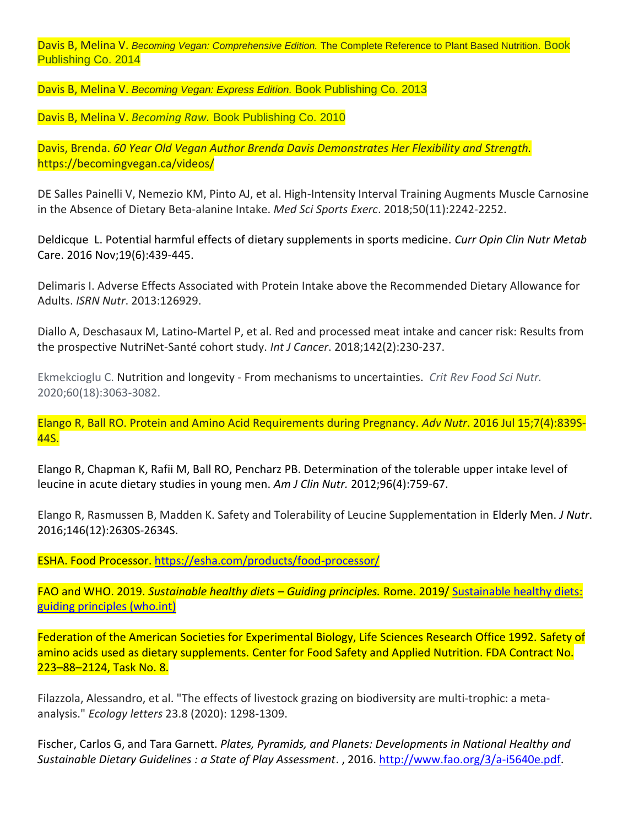Davis B, Melina V. *Becoming Vegan: Comprehensive Edition.* The Complete Reference to Plant Based Nutrition. Book Publishing Co. 2014

Davis B, Melina V. *Becoming Vegan: Express Edition.* Book Publishing Co. 2013

Davis B, Melina V. *Becoming Raw.* Book Publishing Co. 2010

Davis, Brenda. *60 Year Old Vegan Author Brenda Davis Demonstrates Her Flexibility and Strength.* https://becomingvegan.ca/videos/

DE Salles Painelli V, Nemezio KM, Pinto AJ, et al. High-Intensity Interval Training Augments Muscle Carnosine in the Absence of Dietary Beta-alanine Intake. *Med Sci Sports Exerc*. 2018;50(11):2242-2252.

Deldicque L. Potential harmful effects of dietary supplements in sports medicine. *Curr Opin Clin Nutr Metab* Care. 2016 Nov;19(6):439-445.

Delimaris I. Adverse Effects Associated with Protein Intake above the Recommended Dietary Allowance for Adults. *ISRN Nutr*. 2013:126929.

Diallo A, Deschasaux M, Latino-Martel P, et al. Red and processed meat intake and cancer risk: Results from the prospective NutriNet-Santé cohort study. *Int J Cancer*. 2018;142(2):230-237.

Ekmekcioglu C. Nutrition and longevity - From mechanisms to uncertainties. *Crit Rev Food Sci Nutr.* 2020;60(18):3063-3082.

Elango R, Ball RO. Protein and Amino Acid Requirements during Pregnancy. *Adv Nutr*. 2016 Jul 15;7(4):839S-44S.

Elango R, Chapman K, Rafii M, Ball RO, Pencharz PB. Determination of the tolerable upper intake level of leucine in acute dietary studies in young men. *Am J Clin Nutr.* 2012;96(4):759-67.

Elango R, Rasmussen B, Madden K. Safety and Tolerability of Leucine Supplementation in Elderly Men. *J Nutr*. 2016;146(12):2630S-2634S.

ESHA. Food Processor.<https://esha.com/products/food-processor/>

FAO and WHO. 2019. *Sustainable healthy diets – Guiding principles.* Rome. 2019/ [Sustainable healthy diets:](https://www.who.int/publications/i/item/9789241516648)  [guiding principles \(who.int\)](https://www.who.int/publications/i/item/9789241516648)

Federation of the American Societies for Experimental Biology, Life Sciences Research Office 1992. Safety of amino acids used as dietary supplements. Center for Food Safety and Applied Nutrition. FDA Contract No. 223–88–2124, Task No. 8.

Filazzola, Alessandro, et al. "The effects of livestock grazing on biodiversity are multi‐trophic: a meta‐ analysis." *Ecology letters* 23.8 (2020): 1298-1309.

Fischer, Carlos G, and Tara Garnett. *Plates, Pyramids, and Planets: Developments in National Healthy and Sustainable Dietary Guidelines : a State of Play Assessment*. , 2016. [http://www.fao.org/3/a-i5640e.pdf.](http://www.fao.org/3/a-i5640e.pdf)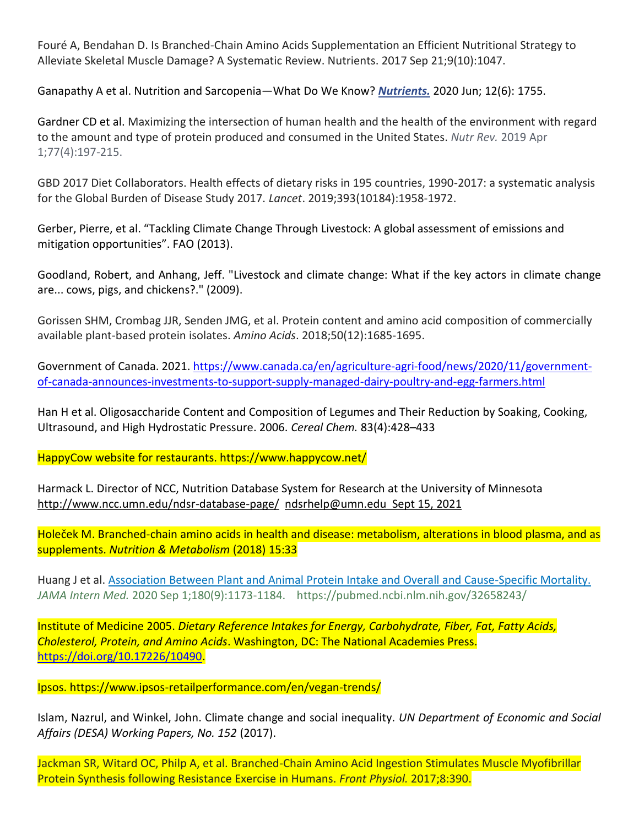Fouré A, Bendahan D. Is Branched-Chain Amino Acids Supplementation an Efficient Nutritional Strategy to Alleviate Skeletal Muscle Damage? A Systematic Review. Nutrients. 2017 Sep 21;9(10):1047.

Ganapathy A et al. Nutrition and Sarcopenia—What Do We Know? *[Nutrients.](https://www.ncbi.nlm.nih.gov/pmc/articles/PMC7353446/)* 2020 Jun; 12(6): 1755.

Gardner CD et al. Maximizing the intersection of human health and the health of the environment with regard to the amount and type of protein produced and consumed in the United States. *Nutr Rev.* 2019 Apr 1;77(4):197-215.

GBD 2017 Diet Collaborators. Health effects of dietary risks in 195 countries, 1990-2017: a systematic analysis for the Global Burden of Disease Study 2017. *Lancet*. 2019;393(10184):1958-1972.

Gerber, Pierre, et al. "Tackling Climate Change Through Livestock: A global assessment of emissions and mitigation opportunities". FAO (2013).

Goodland, Robert, and Anhang, Jeff. "Livestock and climate change: What if the key actors in climate change are... cows, pigs, and chickens?." (2009).

Gorissen SHM, Crombag JJR, Senden JMG, et al. Protein content and amino acid composition of commercially available plant-based protein isolates. *Amino Acids*. 2018;50(12):1685-1695.

Government of Canada. 2021. [https://www.canada.ca/en/agriculture-agri-food/news/2020/11/government](https://www.canada.ca/en/agriculture-agri-food/news/2020/11/government-of-canada-announces-investments-to-support-supply-managed-dairy-poultry-and-egg-farmers.html)[of-canada-announces-investments-to-support-supply-managed-dairy-poultry-and-egg-farmers.html](https://www.canada.ca/en/agriculture-agri-food/news/2020/11/government-of-canada-announces-investments-to-support-supply-managed-dairy-poultry-and-egg-farmers.html)

Han H et al. Oligosaccharide Content and Composition of Legumes and Their Reduction by Soaking, Cooking, Ultrasound, and High Hydrostatic Pressure. 2006. *Cereal Chem.* 83(4):428–433

HappyCow website for restaurants. https://www.happycow.net/

Harmack L. Director of NCC, Nutrition Database System for Research at the University of Minnesota <http://www.ncc.umn.edu/ndsr-database-page/>[ndsrhelp@umn.edu](mailto:ndsrhelp@umn.edu) Sept 15, 2021

Holeček M. Branched-chain amino acids in health and disease: metabolism, alterations in blood plasma, and as supplements. *Nutrition & Metabolism* (2018) 15:33

Huang J et al. Association Between Plant [and Animal Protein Intake and Overall and Cause-Specific Mortality.](https://pubmed.ncbi.nlm.nih.gov/32658243/) *JAMA Intern Med.* 2020 Sep 1;180(9):1173-1184. https://pubmed.ncbi.nlm.nih.gov/32658243/

Institute of Medicine 2005. *Dietary Reference Intakes for Energy, Carbohydrate, Fiber, Fat, Fatty Acids, Cholesterol, Protein, and Amino Acids*. Washington, DC: The National Academies Press. [https://doi.org/10.17226/10490.](https://doi.org/10.17226/10490)

Ipsos. https://www.ipsos-retailperformance.com/en/vegan-trends/

Islam, Nazrul, and Winkel, John. Climate change and social inequality. *UN Department of Economic and Social Affairs (DESA) Working Papers, No. 152* (2017).

Jackman SR, Witard OC, Philp A, et al. Branched-Chain Amino Acid Ingestion Stimulates Muscle Myofibrillar Protein Synthesis following Resistance Exercise in Humans. *Front Physiol.* 2017;8:390.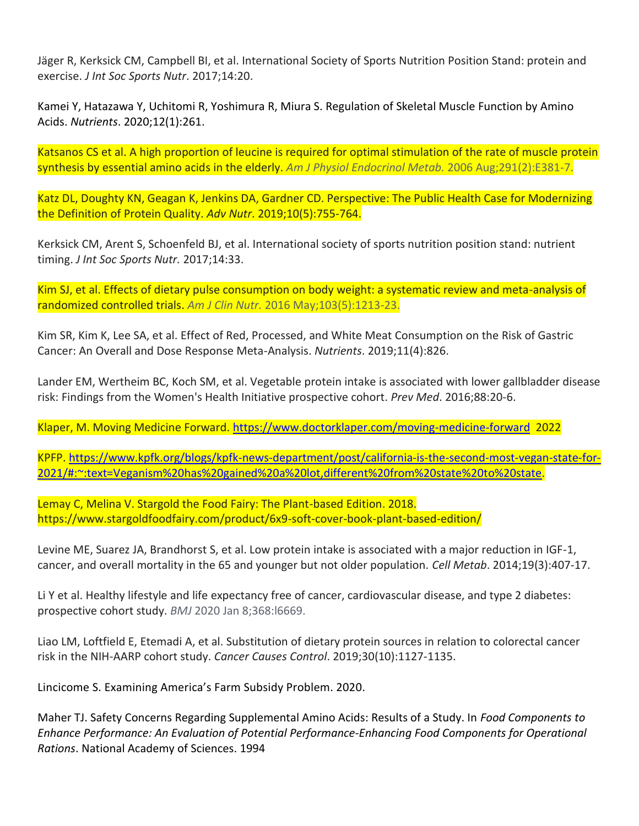Jäger R, Kerksick CM, Campbell BI, et al. International Society of Sports Nutrition Position Stand: protein and exercise. *J Int Soc Sports Nutr*. 2017;14:20.

Kamei Y, Hatazawa Y, Uchitomi R, Yoshimura R, Miura S. Regulation of Skeletal Muscle Function by Amino Acids. *Nutrients*. 2020;12(1):261.

Katsanos CS et al. A high proportion of leucine is required for optimal stimulation of the rate of muscle protein synthesis by essential amino acids in the elderly. *Am J Physiol Endocrinol Metab.* 2006 Aug;291(2):E381-7.

Katz DL, Doughty KN, Geagan K, Jenkins DA, Gardner CD. Perspective: The Public Health Case for Modernizing the Definition of Protein Quality. *Adv Nutr*. 2019;10(5):755-764.

Kerksick CM, Arent S, Schoenfeld BJ, et al. International society of sports nutrition position stand: nutrient timing. *J Int Soc Sports Nutr.* 2017;14:33.

Kim SJ, et al. Effects of dietary pulse consumption on body weight: a systematic review and meta-analysis of randomized controlled trials. *Am J Clin Nutr.* 2016 May;103(5):1213-23.

Kim SR, Kim K, Lee SA, et al. Effect of Red, Processed, and White Meat Consumption on the Risk of Gastric Cancer: An Overall and Dose Response Meta-Analysis. *Nutrients*. 2019;11(4):826.

Lander EM, Wertheim BC, Koch SM, et al. Vegetable protein intake is associated with lower gallbladder disease risk: Findings from the Women's Health Initiative prospective cohort. *Prev Med*. 2016;88:20-6.

Klaper, M. Moving Medicine Forward.<https://www.doctorklaper.com/moving-medicine-forward>2022

KPFP. [https://www.kpfk.org/blogs/kpfk-news-department/post/california-is-the-second-most-vegan-state-for-](https://www.kpfk.org/blogs/kpfk-news-department/post/california-is-the-second-most-vegan-state-for-2021/#:~:text=Veganism%20has%20gained%20a%20lot,different%20from%20state%20to%20state)[2021/#:~:text=Veganism%20has%20gained%20a%20lot,different%20from%20state%20to%20state.](https://www.kpfk.org/blogs/kpfk-news-department/post/california-is-the-second-most-vegan-state-for-2021/#:~:text=Veganism%20has%20gained%20a%20lot,different%20from%20state%20to%20state)

Lemay C, Melina V. Stargold the Food Fairy: The Plant-based Edition. 2018. https://www.stargoldfoodfairy.com/product/6x9-soft-cover-book-plant-based-edition/

Levine ME, Suarez JA, Brandhorst S, et al. Low protein intake is associated with a major reduction in IGF-1, cancer, and overall mortality in the 65 and younger but not older population. *Cell Metab*. 2014;19(3):407-17.

Li Y et al. Healthy lifestyle and life expectancy free of cancer, cardiovascular disease, and type 2 diabetes: prospective cohort study. *BMJ* 2020 Jan 8;368:l6669.

Liao LM, Loftfield E, Etemadi A, et al. Substitution of dietary protein sources in relation to colorectal cancer risk in the NIH-AARP cohort study. *Cancer Causes Control*. 2019;30(10):1127-1135.

Lincicome S. Examining America's Farm Subsidy Problem. 2020.

Maher TJ. Safety Concerns Regarding Supplemental Amino Acids: Results of a Study. In *Food Components to Enhance Performance: An Evaluation of Potential Performance-Enhancing Food Components for Operational Rations*. National Academy of Sciences. 1994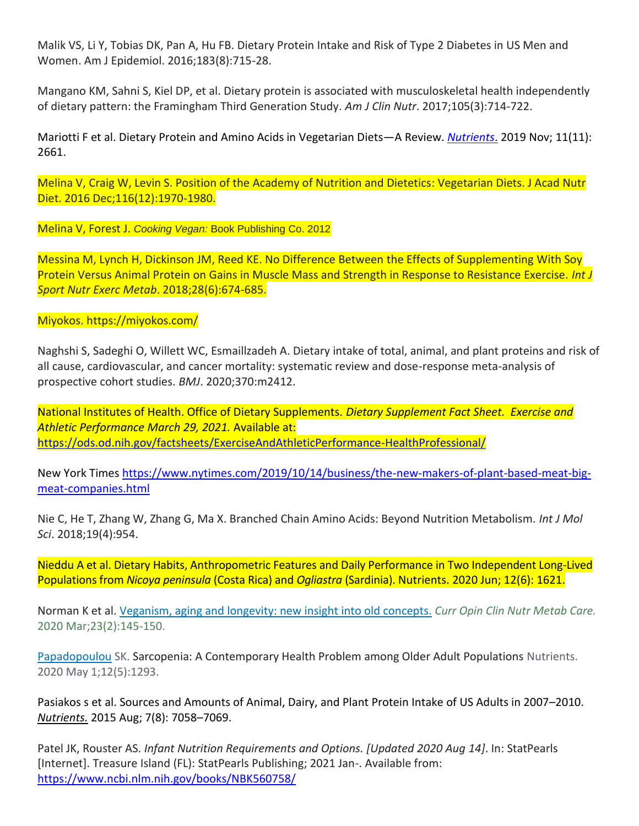Malik VS, Li Y, Tobias DK, Pan A, Hu FB. Dietary Protein Intake and Risk of Type 2 Diabetes in US Men and Women. Am J Epidemiol. 2016;183(8):715-28.

Mangano KM, Sahni S, Kiel DP, et al. Dietary protein is associated with musculoskeletal health independently of dietary pattern: the Framingham Third Generation Study. *Am J Clin Nutr*. 2017;105(3):714-722.

Mariotti F et al. Dietary Protein and Amino Acids in Vegetarian Diets—A Review. *[Nutrients](https://www.ncbi.nlm.nih.gov/pmc/articles/PMC6893534/)*. 2019 Nov; 11(11): 2661.

Melina V, Craig W, Levin S. Position of the Academy of Nutrition and Dietetics: Vegetarian Diets. J Acad Nutr Diet. 2016 Dec;116(12):1970-1980.

Melina V, Forest J. *Cooking Vegan:* Book Publishing Co. 2012

Messina M, Lynch H, Dickinson JM, Reed KE. No Difference Between the Effects of Supplementing With Soy Protein Versus Animal Protein on Gains in Muscle Mass and Strength in Response to Resistance Exercise. *Int J Sport Nutr Exerc Metab*. 2018;28(6):674-685.

Miyokos. https://miyokos.com/

Naghshi S, Sadeghi O, Willett WC, Esmaillzadeh A. Dietary intake of total, animal, and plant proteins and risk of all cause, cardiovascular, and cancer mortality: systematic review and dose-response meta-analysis of prospective cohort studies. *BMJ*. 2020;370:m2412.

National Institutes of Health. Office of Dietary Supplements*. Dietary Supplement Fact Sheet. Exercise and Athletic Performance March 29, 2021.* Available at: <https://ods.od.nih.gov/factsheets/ExerciseAndAthleticPerformance-HealthProfessional/>

New York Times [https://www.nytimes.com/2019/10/14/business/the-new-makers-of-plant-based-meat-big](https://www.nytimes.com/2019/10/14/business/the-new-makers-of-plant-based-meat-big-meat-companies.html)[meat-companies.html](https://www.nytimes.com/2019/10/14/business/the-new-makers-of-plant-based-meat-big-meat-companies.html)

Nie C, He T, Zhang W, Zhang G, Ma X. Branched Chain Amino Acids: Beyond Nutrition Metabolism. *Int J Mol Sci*. 2018;19(4):954.

Nieddu A et al. Dietary Habits, Anthropometric Features and Daily Performance in Two Independent Long-Lived Populations from *Nicoya peninsula* (Costa Rica) and *Ogliastra* (Sardinia). Nutrients. 2020 Jun; 12(6): 1621.

Norman K et al. Veganism, aging and [longevity: new insight into old concepts.](https://pubmed.ncbi.nlm.nih.gov/31895244/) *Curr Opin Clin Nutr Metab Care.*  2020 Mar;23(2):145-150.

[Papadopoulou](https://pubmed.ncbi.nlm.nih.gov/?term=Papadopoulou+SK&cauthor_id=32370051) SK. Sarcopenia: A Contemporary Health Problem among Older Adult Populations Nutrients. 2020 May 1;12(5):1293.

Pasiakos s et al. Sources and Amounts of Animal, Dairy, and Plant Protein Intake of US Adults in 2007–2010. *[Nutrients.](https://www.ncbi.nlm.nih.gov/pmc/articles/PMC4555161/)* 2015 Aug; 7(8): 7058–7069.

Patel JK, Rouster AS. *Infant Nutrition Requirements and Options. [Updated 2020 Aug 14]*. In: StatPearls [Internet]. Treasure Island (FL): StatPearls Publishing; 2021 Jan-. Available from: <https://www.ncbi.nlm.nih.gov/books/NBK560758/>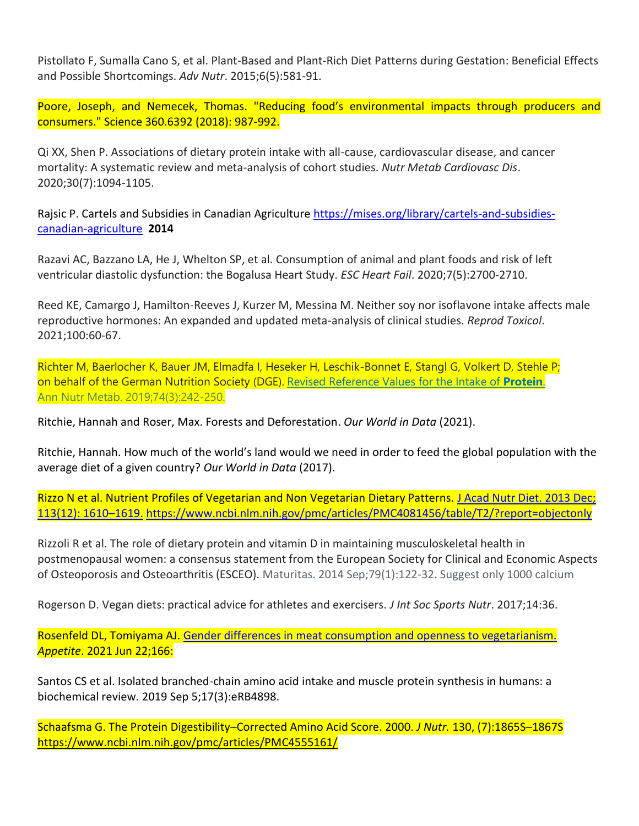Pistollato F, Sumalla Cano S, et al. Plant-Based and Plant-Rich Diet Patterns during Gestation: Beneficial Effects and Possible Shortcomings. *Adv Nutr*. 2015;6(5):581-91.

Poore, Joseph, and Nemecek, Thomas. "Reducing food's environmental impacts through producers and consumers." Science 360.6392 (2018): 987-992.

Qi XX, Shen P. Associations of dietary protein intake with all-cause, cardiovascular disease, and cancer mortality: A systematic review and meta-analysis of cohort studies. *Nutr Metab Cardiovasc Dis*. 2020;30(7):1094-1105.

Rajsic P. Cartels and Subsidies in Canadian Agriculture [https://mises.org/library/cartels-and-subsidies](https://mises.org/library/cartels-and-subsidies-canadian-agriculture)[canadian-agriculture](https://mises.org/library/cartels-and-subsidies-canadian-agriculture) **2014**

Razavi AC, Bazzano LA, He J, Whelton SP, et al. Consumption of animal and plant foods and risk of left ventricular diastolic dysfunction: the Bogalusa Heart Study. *ESC Heart Fail*. 2020;7(5):2700-2710.

Reed KE, Camargo J, Hamilton-Reeves J, Kurzer M, Messina M. Neither soy nor isoflavone intake affects male reproductive hormones: An expanded and updated meta-analysis of clinical studies. *Reprod Toxicol*. 2021;100:60-67.

Richter M, Baerlocher K, Bauer JM, Elmadfa I, Heseker H, Leschik-Bonnet E, Stangl G, Volkert D, Stehle P; on behalf of the German Nutrition Society (DGE). [Revised Reference Values for the Intake of](https://pubmed.ncbi.nlm.nih.gov/30904906/) **Protein**. Ann Nutr Metab. 2019;74(3):242-250.

Ritchie, Hannah and Roser, Max. Forests and Deforestation. *Our World in Data* (2021).

Ritchie, Hannah. How much of the world's land would we need in order to feed the global population with the average diet of a given country? *Our World in Data* (2017).

Rizzo N et al. Nutrient Profiles of Vegetarian and Non Vegetarian Dietary Patterns. [J Acad Nutr Diet. 2013 Dec;](https://www.ncbi.nlm.nih.gov/entrez/eutils/elink.fcgi?dbfrom=pubmed&retmode=ref&cmd=prlinks&id=23988511)  [113\(12\): 1610](https://www.ncbi.nlm.nih.gov/entrez/eutils/elink.fcgi?dbfrom=pubmed&retmode=ref&cmd=prlinks&id=23988511)–1619. <https://www.ncbi.nlm.nih.gov/pmc/articles/PMC4081456/table/T2/?report=objectonly>

Rizzoli R et al. The role of dietary protein and vitamin D in maintaining musculoskeletal health in postmenopausal women: a consensus statement from the European Society for Clinical and Economic Aspects of Osteoporosis and Osteoarthritis (ESCEO). Maturitas. 2014 Sep;79(1):122-32. Suggest only 1000 calcium

Rogerson D. Vegan diets: practical advice for athletes and exercisers. *J Int Soc Sports Nutr*. 2017;14:36.

Rosenfeld DL, Tomiyama AJ. [Gender differences in meat consumption and openness to vegetarianism.](https://pubmed.ncbi.nlm.nih.gov/34166748/) *Appetite*. 2021 Jun 22;166:

Santos CS et al. Isolated branched-chain amino acid [intake and muscle protein synthesis in humans: a](https://pubmed.ncbi.nlm.nih.gov/31508659/)  [biochemical review.](https://pubmed.ncbi.nlm.nih.gov/31508659/) 2019 Sep 5;17(3):eRB4898.

Schaafsma G. The Protein Digestibility–Corrected Amino Acid Score. 2000. *J Nutr.* 130, (7):1865S–1867S <https://www.ncbi.nlm.nih.gov/pmc/articles/PMC4555161/>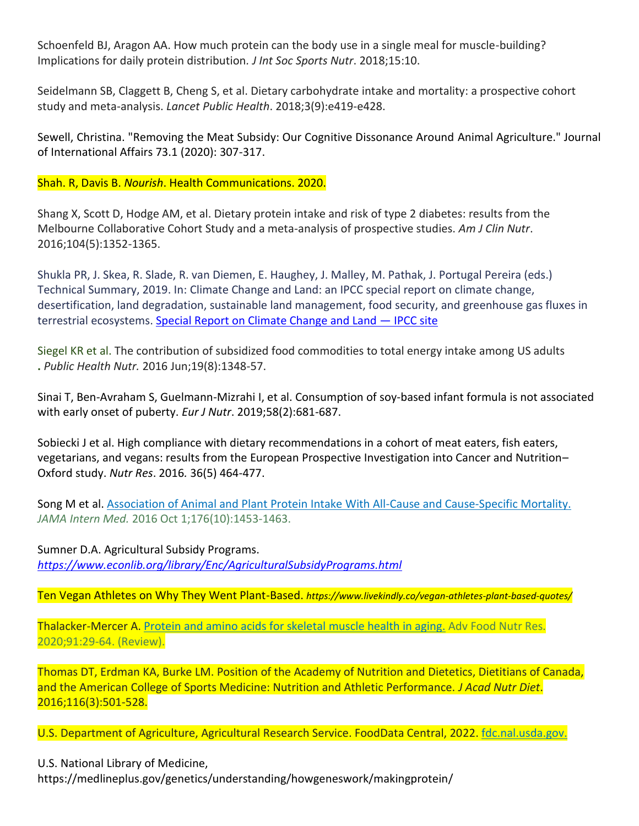Schoenfeld BJ, Aragon AA. How much protein can the body use in a single meal for muscle-building? Implications for daily protein distribution*. J Int Soc Sports Nutr*. 2018;15:10.

Seidelmann SB, Claggett B, Cheng S, et al. Dietary carbohydrate intake and mortality: a prospective cohort study and meta-analysis. *Lancet Public Health*. 2018;3(9):e419-e428.

Sewell, Christina. "Removing the Meat Subsidy: Our Cognitive Dissonance Around Animal Agriculture." Journal of International Affairs 73.1 (2020): 307-317.

Shah. R, Davis B. *Nourish*. Health Communications. 2020.

Shang X, Scott D, Hodge AM, et al. Dietary protein intake and risk of type 2 diabetes: results from the Melbourne Collaborative Cohort Study and a meta-analysis of prospective studies. *Am J Clin Nutr*. 2016;104(5):1352-1365.

Shukla PR, J. Skea, R. Slade, R. van Diemen, E. Haughey, J. Malley, M. Pathak, J. Portugal Pereira (eds.) Technical Summary, 2019. In: Climate Change and Land: an IPCC special report on climate change, desertification, land degradation, sustainable land management, food security, and greenhouse gas fluxes in terrestrial ecosystems. [Special Report on Climate Change and Land](https://www.ipcc.ch/srccl/) — IPCC site

Siegel KR et al. The contribution of subsidized food commodities to total energy intake among US adults **.** *Public Health Nutr.* 2016 Jun;19(8):1348-57.

Sinai T, Ben-Avraham S, Guelmann-Mizrahi I, et al. Consumption of soy-based infant formula is not associated with early onset of puberty. *Eur J Nutr*. 2019;58(2):681-687.

Sobiecki J et al. High compliance with dietary recommendations in a cohort of meat eaters, fish eaters, vegetarians, and vegans: results from the European Prospective Investigation into Cancer and Nutrition– Oxford study. *Nutr Res*. 2016*.* 36(5) 464-477.

Song M et al. Association of Animal and Plant [Protein Intake With All-Cause and Cause-Specific Mortality.](https://pubmed.ncbi.nlm.nih.gov/27479196/) *JAMA Intern Med.* 2016 Oct 1;176(10):1453-1463.

Sumner D.A. Agricultural Subsidy Programs. *<https://www.econlib.org/library/Enc/AgriculturalSubsidyPrograms.html>*

Ten Vegan Athletes on Why They Went Plant-Based. *https://www.livekindly.co/vegan-athletes-plant-based-quotes/*

Thalacker-Mercer A. Protein [and amino acids for skeletal](https://pubmed.ncbi.nlm.nih.gov/32035599/) muscle health in aging. Adv Food Nutr Res. 2020;91:29-64. (Review).

Thomas DT, Erdman KA, Burke LM. Position of the Academy of Nutrition and Dietetics, Dietitians of Canada, and the American College of Sports Medicine: Nutrition and Athletic Performance. *J Acad Nutr Diet*. 2016;116(3):501-528.

U.S. Department of Agriculture, Agricultural Research Service. FoodData Central, 2022. [fdc.nal.usda.gov.](http://fdc.nal.usda.gov/)

U.S. National Library of Medicine,

https://medlineplus.gov/genetics/understanding/howgeneswork/makingprotein/